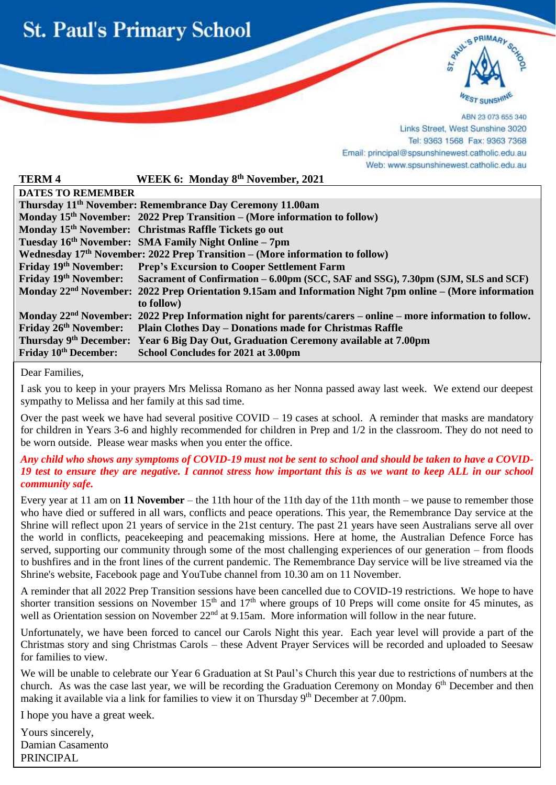



ABN 23 073 655 340 Links Street, West Sunshine 3020 Tel: 9363 1568 Fax: 9363 7368 Email: principal@spsunshinewest.catholic.edu.au Web: www.spsunshinewest.catholic.edu.au

| <b>TERM4</b>                                                                             | WEEK 6: Monday 8 <sup>th</sup> November, 2021                                                                           |  |
|------------------------------------------------------------------------------------------|-------------------------------------------------------------------------------------------------------------------------|--|
| <b>DATES TO REMEMBER</b>                                                                 |                                                                                                                         |  |
| Thursday 11 <sup>th</sup> November: Remembrance Day Ceremony 11.00am                     |                                                                                                                         |  |
|                                                                                          | Monday $15th$ November: 2022 Prep Transition – (More information to follow)                                             |  |
|                                                                                          | Monday 15 <sup>th</sup> November: Christmas Raffle Tickets go out                                                       |  |
|                                                                                          | Tuesday 16th November: SMA Family Night Online - 7pm                                                                    |  |
| Wednesday 17 <sup>th</sup> November: 2022 Prep Transition – (More information to follow) |                                                                                                                         |  |
|                                                                                          | Friday 19th November: Prep's Excursion to Cooper Settlement Farm                                                        |  |
|                                                                                          | Friday 19th November: Sacrament of Confirmation – 6.00pm (SCC, SAF and SSG), 7.30pm (SJM, SLS and SCF)                  |  |
|                                                                                          | Monday 22 <sup>nd</sup> November: 2022 Prep Orientation 9.15am and Information Night 7pm online – (More information     |  |
|                                                                                          | to follow)                                                                                                              |  |
|                                                                                          | Monday 22 <sup>nd</sup> November: 2022 Prep Information night for parents/carers – online – more information to follow. |  |
|                                                                                          | Friday 26th November: Plain Clothes Day - Donations made for Christmas Raffle                                           |  |
|                                                                                          | Thursday 9th December: Year 6 Big Day Out, Graduation Ceremony available at 7.00pm                                      |  |
| <b>Friday 10th December:</b>                                                             | School Concludes for 2021 at 3.00pm                                                                                     |  |
|                                                                                          |                                                                                                                         |  |

Dear Families,

i

I ask you to keep in your prayers Mrs Melissa Romano as her Nonna passed away last week. We extend our deepest sympathy to Melissa and her family at this sad time.

Over the past week we have had several positive  $COVID - 19$  cases at school. A reminder that masks are mandatory for children in Years 3-6 and highly recommended for children in Prep and 1/2 in the classroom. They do not need to be worn outside. Please wear masks when you enter the office.

#### *Any child who shows any symptoms of COVID-19 must not be sent to school and should be taken to have a COVID-19 test to ensure they are negative. I cannot stress how important this is as we want to keep ALL in our school community safe.*

Every year at 11 am on **11 November** – the 11th hour of the 11th day of the 11th month – we pause to remember those who have died or suffered in all wars, conflicts and peace operations. This year, the Remembrance Day service at the Shrine will reflect upon 21 years of service in the 21st century. The past 21 years have seen Australians serve all over the world in conflicts, peacekeeping and peacemaking missions. Here at home, the Australian Defence Force has served, supporting our community through some of the most challenging experiences of our generation – from floods to bushfires and in the front lines of the current pandemic. The Remembrance Day service will be live streamed via the Shrine's [website,](https://www.shrine.org.au/) [Facebook](https://www.facebook.com/shrineofremembrance) page and [YouTube](https://www.youtube.com/user/ShrineMelbourne) channel from 10.30 am on 11 November.

A reminder that all 2022 Prep Transition sessions have been cancelled due to COVID-19 restrictions. We hope to have shorter transition sessions on November  $15<sup>th</sup>$  and  $17<sup>th</sup>$  where groups of 10 Preps will come onsite for 45 minutes, as well as Orientation session on November 22<sup>nd</sup> at 9.15am. More information will follow in the near future.

Unfortunately, we have been forced to cancel our Carols Night this year. Each year level will provide a part of the Christmas story and sing Christmas Carols – these Advent Prayer Services will be recorded and uploaded to Seesaw for families to view.

We will be unable to celebrate our Year 6 Graduation at St Paul's Church this year due to restrictions of numbers at the church. As was the case last year, we will be recording the Graduation Ceremony on Monday 6<sup>th</sup> December and then making it available via a link for families to view it on Thursday 9<sup>th</sup> December at 7.00pm.

I hope you have a great week.

Yours sincerely, Damian Casamento PRINCIPAL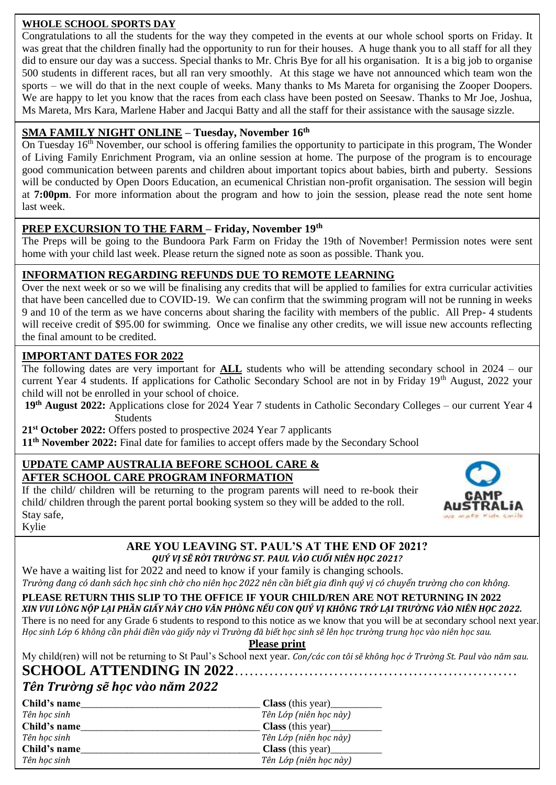#### **WHOLE SCHOOL SPORTS DAY**

Congratulations to all the students for the way they competed in the events at our whole school sports on Friday. It was great that the children finally had the opportunity to run for their houses. A huge thank you to all staff for all they did to ensure our day was a success. Special thanks to Mr. Chris Bye for all his organisation. It is a big job to organise 500 students in different races, but all ran very smoothly. At this stage we have not announced which team won the sports – we will do that in the next couple of weeks. Many thanks to Ms Mareta for organising the Zooper Doopers. We are happy to let you know that the races from each class have been posted on Seesaw. Thanks to Mr Joe, Joshua, Ms Mareta, Mrs Kara, Marlene Haber and Jacqui Batty and all the staff for their assistance with the sausage sizzle.

## **SMA FAMILY NIGHT ONLINE – Tuesday, November 16th**

On Tuesday 16<sup>th</sup> November, our school is offering families the opportunity to participate in this program, The Wonder of Living Family Enrichment Program, via an online session at home. The purpose of the program is to encourage good communication between parents and children about important topics about babies, birth and puberty. Sessions will be conducted by Open Doors Education, an ecumenical Christian non-profit organisation. The session will begin at **7:00pm**. For more information about the program and how to join the session, please read the note sent home last week.

#### **PREP EXCURSION TO THE FARM – Friday, November 19th**

The Preps will be going to the Bundoora Park Farm on Friday the 19th of November! Permission notes were sent home with your child last week. Please return the signed note as soon as possible. Thank you.

#### **INFORMATION REGARDING REFUNDS DUE TO REMOTE LEARNING**

 9 and 10 of the term as we have concerns about sharing the facility with members of the public. All Prep- 4 students Over the next week or so we will be finalising any credits that will be applied to families for extra curricular activities that have been cancelled due to COVID-19. We can confirm that the swimming program will not be running in weeks will receive credit of \$95.00 for swimming. Once we finalise any other credits, we will issue new accounts reflecting the final amount to be credited.

#### **IMPORTANT DATES FOR 2022**

The following dates are very important for **ALL** students who will be attending secondary school in 2024 – our current Year 4 students. If applications for Catholic Secondary School are not in by Friday 19<sup>th</sup> August, 2022 your child will not be enrolled in your school of choice.

**19th August 2022:** Applications close for 2024 Year 7 students in Catholic Secondary Colleges – our current Year 4 Students

**21st October 2022:** Offers posted to prospective 2024 Year 7 applicants

**11th November 2022:** Final date for families to accept offers made by the Secondary School

#### **UPDATE CAMP AUSTRALIA BEFORE SCHOOL CARE & AFTER SCHOOL CARE PROGRAM INFORMATION**

If the child/ children will be returning to the program parents will need to re-book their child/ children through the parent portal booking system so they will be added to the roll. Stay safe, Kylie



#### **ARE YOU LEAVING ST. PAUL'S AT THE END OF 2021?** *QUÝ VỊ SẼ RỜI TRƯỜNG ST. PAUL VÀO CUỐI NIÊN HỌC 2021?*

We have a waiting list for 2022 and need to know if your family is changing schools. *Trường đang có danh sách học sinh chờ cho niên học 2022 nên cần biết gia đình quý vị có chuyển trường cho con không.*

**PLEASE RETURN THIS SLIP TO THE OFFICE IF YOUR CHILD/REN ARE NOT RETURNING IN 2022** *XIN VUI LÒNG NỘP LẠI PHẦN GIẤY NÀY CHO VĂN PHÒNG NẾU CON QUÝ VỊ KHÔNG TRỞ LẠI TRƯỜNG VÀO NIÊN HỌC 2022.* There is no need for any Grade 6 students to respond to this notice as we know that you will be at secondary school next year. *Học sinh Lớp 6 không cần phải điền vào giấy này vì Trường đã biết học sinh sẽ lên học trường trung học vào niên học sau.*

**Please print**

My child(ren) will not be returning to St Paul's School next year. *Con/các con tôi sẽ không học ở Trường St. Paul vào năm sau.*

# **SCHOOL ATTENDING IN 2022**…………………………………………………

## *Tên Trường sẽ học vào năm 2022*

| Child's name | <b>Class</b> (this year) |
|--------------|--------------------------|
| Tên hoc sinh | Tên Lớp (niên học này)   |
| Child's name |                          |
| Tên học sinh | Tên Lớp (niên học này)   |
| Child's name | <b>Class</b> (this year) |
| Tên hoc sinh | Tên Lớp (niên học này)   |